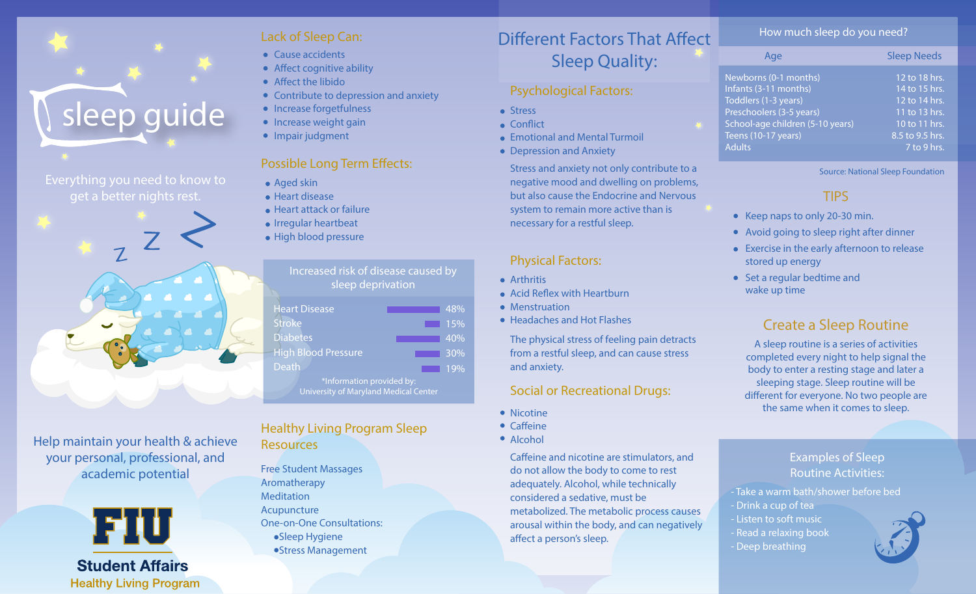

Everything you need to know to get a better nights rest.



Help maintain your health & achieve your personal, professional, and academic potential



**Healthy Living Program** 

## **Lack of Sleep Can:**

- Cause accidents
- $\bullet$  Affect cognitive ability
- $\bullet$  Affect the libido
- Contribute to depression and anxiety
- Increase forgetfulness
- **•** Increase weight gain
- Impair judgment

## **Possible Long Term Effects:**

- Aged skin
- **e** Heart disease
- **Heart attack or failure**
- **Irregular heartbeat**
- High blood pressure

### Increased risk of disease caused by sleep deprivation

| <b>Heart Disease</b>                  | 48% |
|---------------------------------------|-----|
| <b>Stroke</b>                         | 15% |
| <b>Diabetes</b>                       | 40% |
| <b>High Blood Pressure</b>            | 30% |
| <b>Death</b>                          | 19% |
| *Information provided by:             |     |
| University of Maryland Medical Center |     |

## **Healthy Living Program Sleep Resources**

Free Student Massages Aromatherapy Meditation Acupuncture One-on-One Consultations: Sleep Hygiene Stress Management

# Different Factors That Affect Sleep Quality:

#### **Psychological Factors:**

- **Stress**
- $\bullet$  Conflict
- Emotional and Mental Turmoil
- Depression and Anxiety

Stress and anxiety not only contribute to a negative mood and dwelling on problems, but also cause the Endocrine and Nervous system to remain more active than is necessary for a restful sleep.

## **Physical Factors:**

- **•** Arthritis
- $\bullet$  Acid Reflex with Heartburn
- Menstruation
- Headaches and Hot Flashes

The physical stress of feeling pain detracts from a restful sleep, and can cause stress and anxiety.

## **Social or Recreational Drugs:**

- Nicotine
- $\bullet$  Caffeine
- Alcohol

Caffeine and nicotine are stimulators, and do not allow the body to come to rest adequately. Alcohol, while technically considered a sedative, must be metabolized. The metabolic process causes arousal within the body, and can negatively affect a person's sleep.

#### **How much sleep do you need?**

| Age                              | <b>Sleep Needs</b> |
|----------------------------------|--------------------|
| Newborns (0-1 months)            | 12 to 18 hrs.      |
| Infants (3-11 months)            | 14 to 15 hrs.      |
| Toddlers (1-3 years)             | 12 to 14 hrs.      |
| Preschoolers (3-5 years)         | 11 to 13 hrs.      |
| School-age children (5-10 years) | 10 to 11 hrs.      |
| Teens (10-17 years)              | 8.5 to 9.5 hrs.    |
| <b>Adults</b>                    | 7 to 9 hrs.        |

Source: National Sleep Foundation

## **TIPS**

- Keep naps to only 20-30 min.
- Avoid going to sleep right after dinner
- Exercise in the early afternoon to release stored up energy
- Set a regular bedtime and wake up time

## **Create a Sleep Routine**

A sleep routine is a series of activities completed every night to help signal the body to enter a resting stage and later a sleeping stage. Sleep routine will be different for everyone. No two people are the same when it comes to sleep.

### **Examples of Sleep Routine Activities:**

- Take a warm bath/shower before bed - Drink a cup of tea - Listen to soft music - Read a relaxing book - Deep breathing